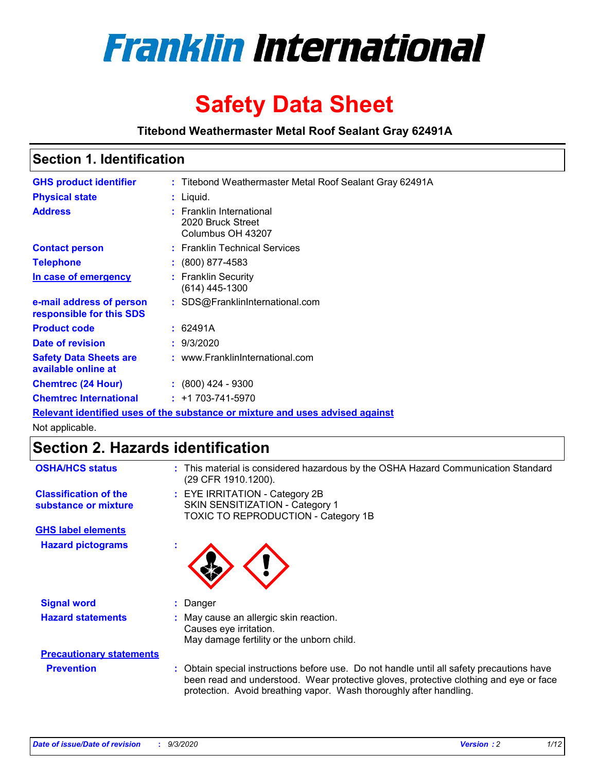

# **Safety Data Sheet**

**Titebond Weathermaster Metal Roof Sealant Gray 62491A**

### **Section 1. Identification**

| <b>GHS product identifier</b>                                                 |  | : Titebond Weathermaster Metal Roof Sealant Gray 62491A            |  |  |
|-------------------------------------------------------------------------------|--|--------------------------------------------------------------------|--|--|
| <b>Physical state</b>                                                         |  | : Liquid.                                                          |  |  |
| <b>Address</b>                                                                |  | : Franklin International<br>2020 Bruck Street<br>Columbus OH 43207 |  |  |
| <b>Contact person</b>                                                         |  | : Franklin Technical Services                                      |  |  |
| <b>Telephone</b>                                                              |  | $\colon$ (800) 877-4583                                            |  |  |
| In case of emergency                                                          |  | : Franklin Security<br>(614) 445-1300                              |  |  |
| e-mail address of person<br>responsible for this SDS                          |  | : SDS@FranklinInternational.com                                    |  |  |
| <b>Product code</b>                                                           |  | : 62491A                                                           |  |  |
| Date of revision                                                              |  | : 9/3/2020                                                         |  |  |
| <b>Safety Data Sheets are</b><br>available online at                          |  | : www.FranklinInternational.com                                    |  |  |
| <b>Chemtrec (24 Hour)</b>                                                     |  | $: (800)$ 424 - 9300                                               |  |  |
| <b>Chemtrec International</b>                                                 |  | $: +1703 - 741 - 5970$                                             |  |  |
| Relevant identified uses of the substance or mixture and uses advised against |  |                                                                    |  |  |

Not applicable.

# **Section 2. Hazards identification**

| <b>OSHA/HCS status</b>                               |   | : This material is considered hazardous by the OSHA Hazard Communication Standard<br>(29 CFR 1910.1200).                                                                                                                                                 |
|------------------------------------------------------|---|----------------------------------------------------------------------------------------------------------------------------------------------------------------------------------------------------------------------------------------------------------|
| <b>Classification of the</b><br>substance or mixture |   | : EYE IRRITATION - Category 2B<br>SKIN SENSITIZATION - Category 1<br>TOXIC TO REPRODUCTION - Category 1B                                                                                                                                                 |
| <b>GHS label elements</b>                            |   |                                                                                                                                                                                                                                                          |
| <b>Hazard pictograms</b>                             | ٠ |                                                                                                                                                                                                                                                          |
| <b>Signal word</b>                                   |   | : Danger                                                                                                                                                                                                                                                 |
| <b>Hazard statements</b>                             |   | : May cause an allergic skin reaction.<br>Causes eye irritation.<br>May damage fertility or the unborn child.                                                                                                                                            |
| <b>Precautionary statements</b>                      |   |                                                                                                                                                                                                                                                          |
| <b>Prevention</b>                                    |   | : Obtain special instructions before use. Do not handle until all safety precautions have<br>been read and understood. Wear protective gloves, protective clothing and eye or face<br>protection. Avoid breathing vapor. Wash thoroughly after handling. |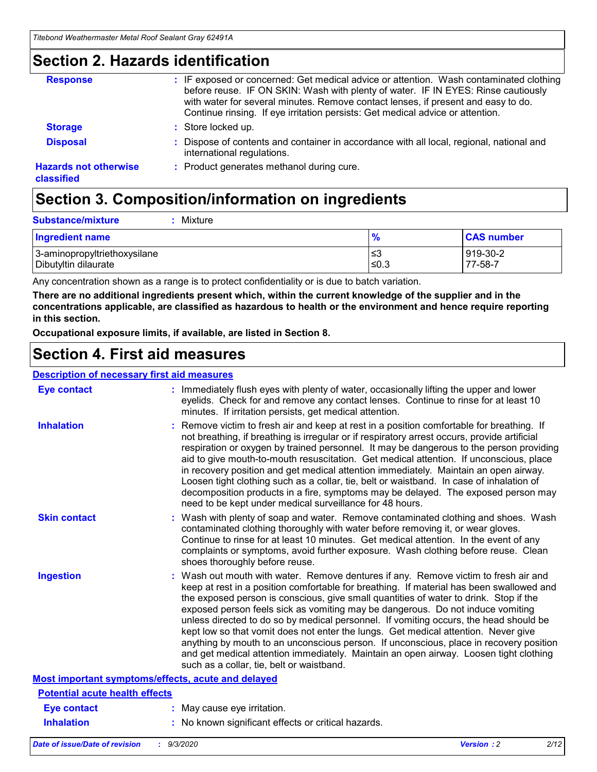### **Section 2. Hazards identification**

| <b>Response</b>                            | : IF exposed or concerned: Get medical advice or attention. Wash contaminated clothing<br>before reuse. IF ON SKIN: Wash with plenty of water. IF IN EYES: Rinse cautiously<br>with water for several minutes. Remove contact lenses, if present and easy to do.<br>Continue rinsing. If eye irritation persists: Get medical advice or attention. |
|--------------------------------------------|----------------------------------------------------------------------------------------------------------------------------------------------------------------------------------------------------------------------------------------------------------------------------------------------------------------------------------------------------|
| <b>Storage</b>                             | : Store locked up.                                                                                                                                                                                                                                                                                                                                 |
| <b>Disposal</b>                            | : Dispose of contents and container in accordance with all local, regional, national and<br>international regulations.                                                                                                                                                                                                                             |
| <b>Hazards not otherwise</b><br>classified | : Product generates methanol during cure.                                                                                                                                                                                                                                                                                                          |

# **Section 3. Composition/information on ingredients**

| <b>Substance/mixture</b> | : Mixture |
|--------------------------|-----------|
|                          |           |

| <b>Ingredient name</b>       | $\frac{9}{6}$ | <b>CAS number</b> |
|------------------------------|---------------|-------------------|
| 3-aminopropyltriethoxysilane | ≤3            | 919-30-2          |
| Dibutyltin dilaurate         | ∣≤0.3         | 77-58-7           |

Any concentration shown as a range is to protect confidentiality or is due to batch variation.

**There are no additional ingredients present which, within the current knowledge of the supplier and in the concentrations applicable, are classified as hazardous to health or the environment and hence require reporting in this section.**

**Occupational exposure limits, if available, are listed in Section 8.**

### **Section 4. First aid measures**

| <b>Description of necessary first aid measures</b> |                                                                                                                                                                                                                                                                                                                                                                                                                                                                                                                                                                                                                                                                                                                                                                           |
|----------------------------------------------------|---------------------------------------------------------------------------------------------------------------------------------------------------------------------------------------------------------------------------------------------------------------------------------------------------------------------------------------------------------------------------------------------------------------------------------------------------------------------------------------------------------------------------------------------------------------------------------------------------------------------------------------------------------------------------------------------------------------------------------------------------------------------------|
| <b>Eye contact</b>                                 | : Immediately flush eyes with plenty of water, occasionally lifting the upper and lower<br>eyelids. Check for and remove any contact lenses. Continue to rinse for at least 10<br>minutes. If irritation persists, get medical attention.                                                                                                                                                                                                                                                                                                                                                                                                                                                                                                                                 |
| <b>Inhalation</b>                                  | : Remove victim to fresh air and keep at rest in a position comfortable for breathing. If<br>not breathing, if breathing is irregular or if respiratory arrest occurs, provide artificial<br>respiration or oxygen by trained personnel. It may be dangerous to the person providing<br>aid to give mouth-to-mouth resuscitation. Get medical attention. If unconscious, place<br>in recovery position and get medical attention immediately. Maintain an open airway.<br>Loosen tight clothing such as a collar, tie, belt or waistband. In case of inhalation of<br>decomposition products in a fire, symptoms may be delayed. The exposed person may<br>need to be kept under medical surveillance for 48 hours.                                                       |
| <b>Skin contact</b>                                | : Wash with plenty of soap and water. Remove contaminated clothing and shoes. Wash<br>contaminated clothing thoroughly with water before removing it, or wear gloves.<br>Continue to rinse for at least 10 minutes. Get medical attention. In the event of any<br>complaints or symptoms, avoid further exposure. Wash clothing before reuse. Clean<br>shoes thoroughly before reuse.                                                                                                                                                                                                                                                                                                                                                                                     |
| <b>Ingestion</b>                                   | : Wash out mouth with water. Remove dentures if any. Remove victim to fresh air and<br>keep at rest in a position comfortable for breathing. If material has been swallowed and<br>the exposed person is conscious, give small quantities of water to drink. Stop if the<br>exposed person feels sick as vomiting may be dangerous. Do not induce vomiting<br>unless directed to do so by medical personnel. If vomiting occurs, the head should be<br>kept low so that vomit does not enter the lungs. Get medical attention. Never give<br>anything by mouth to an unconscious person. If unconscious, place in recovery position<br>and get medical attention immediately. Maintain an open airway. Loosen tight clothing<br>such as a collar, tie, belt or waistband. |
| Most important symptoms/effects, acute and delayed |                                                                                                                                                                                                                                                                                                                                                                                                                                                                                                                                                                                                                                                                                                                                                                           |
| <b>Potential acute health effects</b>              |                                                                                                                                                                                                                                                                                                                                                                                                                                                                                                                                                                                                                                                                                                                                                                           |
| <b>Eye contact</b>                                 | : May cause eye irritation.                                                                                                                                                                                                                                                                                                                                                                                                                                                                                                                                                                                                                                                                                                                                               |
| <b>Inhalation</b>                                  | : No known significant effects or critical hazards.                                                                                                                                                                                                                                                                                                                                                                                                                                                                                                                                                                                                                                                                                                                       |
|                                                    |                                                                                                                                                                                                                                                                                                                                                                                                                                                                                                                                                                                                                                                                                                                                                                           |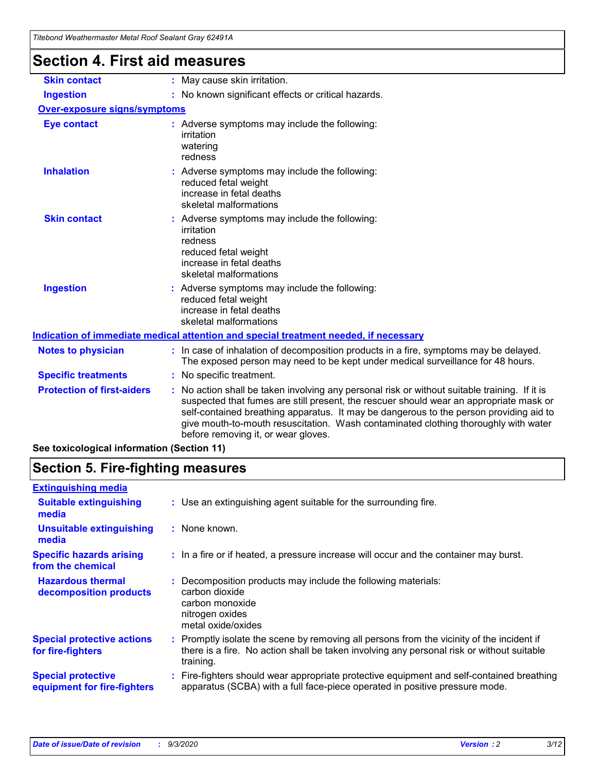| Titebond Weathermaster Metal Roof Sealant Gray 62491A |                                                                                                                                                                                                                                                                                                                                                                                                                 |  |  |  |
|-------------------------------------------------------|-----------------------------------------------------------------------------------------------------------------------------------------------------------------------------------------------------------------------------------------------------------------------------------------------------------------------------------------------------------------------------------------------------------------|--|--|--|
| <b>Section 4. First aid measures</b>                  |                                                                                                                                                                                                                                                                                                                                                                                                                 |  |  |  |
| <b>Skin contact</b>                                   | : May cause skin irritation.                                                                                                                                                                                                                                                                                                                                                                                    |  |  |  |
| <b>Ingestion</b>                                      | : No known significant effects or critical hazards.                                                                                                                                                                                                                                                                                                                                                             |  |  |  |
| <b>Over-exposure signs/symptoms</b>                   |                                                                                                                                                                                                                                                                                                                                                                                                                 |  |  |  |
| <b>Eye contact</b>                                    | : Adverse symptoms may include the following:<br>irritation<br>watering<br>redness                                                                                                                                                                                                                                                                                                                              |  |  |  |
| <b>Inhalation</b>                                     | : Adverse symptoms may include the following:<br>reduced fetal weight<br>increase in fetal deaths<br>skeletal malformations                                                                                                                                                                                                                                                                                     |  |  |  |
| <b>Skin contact</b>                                   | : Adverse symptoms may include the following:<br>irritation<br>redness<br>reduced fetal weight<br>increase in fetal deaths<br>skeletal malformations                                                                                                                                                                                                                                                            |  |  |  |
| <b>Ingestion</b>                                      | Adverse symptoms may include the following:<br>reduced fetal weight<br>increase in fetal deaths<br>skeletal malformations                                                                                                                                                                                                                                                                                       |  |  |  |
|                                                       | Indication of immediate medical attention and special treatment needed, if necessary                                                                                                                                                                                                                                                                                                                            |  |  |  |
| <b>Notes to physician</b>                             | : In case of inhalation of decomposition products in a fire, symptoms may be delayed.<br>The exposed person may need to be kept under medical surveillance for 48 hours.                                                                                                                                                                                                                                        |  |  |  |
| <b>Specific treatments</b>                            | : No specific treatment.                                                                                                                                                                                                                                                                                                                                                                                        |  |  |  |
| <b>Protection of first-aiders</b>                     | : No action shall be taken involving any personal risk or without suitable training. If it is<br>suspected that fumes are still present, the rescuer should wear an appropriate mask or<br>self-contained breathing apparatus. It may be dangerous to the person providing aid to<br>give mouth-to-mouth resuscitation. Wash contaminated clothing thoroughly with water<br>before removing it, or wear gloves. |  |  |  |

**See toxicological information (Section 11)**

### **Section 5. Fire-fighting measures**

| <b>Extinguishing media</b>                               |                                                                                                                                                                                                     |
|----------------------------------------------------------|-----------------------------------------------------------------------------------------------------------------------------------------------------------------------------------------------------|
| <b>Suitable extinguishing</b><br>media                   | : Use an extinguishing agent suitable for the surrounding fire.                                                                                                                                     |
| <b>Unsuitable extinguishing</b><br>media                 | : None known.                                                                                                                                                                                       |
| <b>Specific hazards arising</b><br>from the chemical     | : In a fire or if heated, a pressure increase will occur and the container may burst.                                                                                                               |
| <b>Hazardous thermal</b><br>decomposition products       | Decomposition products may include the following materials:<br>carbon dioxide<br>carbon monoxide<br>nitrogen oxides<br>metal oxide/oxides                                                           |
| <b>Special protective actions</b><br>for fire-fighters   | : Promptly isolate the scene by removing all persons from the vicinity of the incident if<br>there is a fire. No action shall be taken involving any personal risk or without suitable<br>training. |
| <b>Special protective</b><br>equipment for fire-fighters | Fire-fighters should wear appropriate protective equipment and self-contained breathing<br>apparatus (SCBA) with a full face-piece operated in positive pressure mode.                              |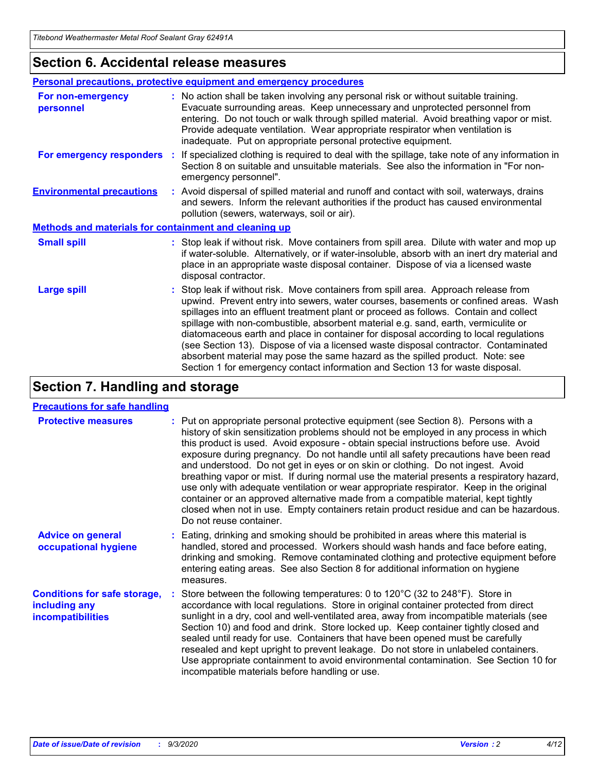### **Section 6. Accidental release measures**

| Personal precautions, protective equipment and emergency procedures |                                                                                                                                                                                                                                                                                                                                                                                                                                                                                                                                                                                                                                                                                                              |  |  |  |
|---------------------------------------------------------------------|--------------------------------------------------------------------------------------------------------------------------------------------------------------------------------------------------------------------------------------------------------------------------------------------------------------------------------------------------------------------------------------------------------------------------------------------------------------------------------------------------------------------------------------------------------------------------------------------------------------------------------------------------------------------------------------------------------------|--|--|--|
| For non-emergency<br>personnel                                      | : No action shall be taken involving any personal risk or without suitable training.<br>Evacuate surrounding areas. Keep unnecessary and unprotected personnel from<br>entering. Do not touch or walk through spilled material. Avoid breathing vapor or mist.<br>Provide adequate ventilation. Wear appropriate respirator when ventilation is<br>inadequate. Put on appropriate personal protective equipment.                                                                                                                                                                                                                                                                                             |  |  |  |
| For emergency responders                                            | : If specialized clothing is required to deal with the spillage, take note of any information in<br>Section 8 on suitable and unsuitable materials. See also the information in "For non-<br>emergency personnel".                                                                                                                                                                                                                                                                                                                                                                                                                                                                                           |  |  |  |
| <b>Environmental precautions</b>                                    | : Avoid dispersal of spilled material and runoff and contact with soil, waterways, drains<br>and sewers. Inform the relevant authorities if the product has caused environmental<br>pollution (sewers, waterways, soil or air).                                                                                                                                                                                                                                                                                                                                                                                                                                                                              |  |  |  |
| Methods and materials for containment and cleaning up               |                                                                                                                                                                                                                                                                                                                                                                                                                                                                                                                                                                                                                                                                                                              |  |  |  |
| <b>Small spill</b>                                                  | : Stop leak if without risk. Move containers from spill area. Dilute with water and mop up<br>if water-soluble. Alternatively, or if water-insoluble, absorb with an inert dry material and<br>place in an appropriate waste disposal container. Dispose of via a licensed waste<br>disposal contractor.                                                                                                                                                                                                                                                                                                                                                                                                     |  |  |  |
| <b>Large spill</b>                                                  | : Stop leak if without risk. Move containers from spill area. Approach release from<br>upwind. Prevent entry into sewers, water courses, basements or confined areas. Wash<br>spillages into an effluent treatment plant or proceed as follows. Contain and collect<br>spillage with non-combustible, absorbent material e.g. sand, earth, vermiculite or<br>diatomaceous earth and place in container for disposal according to local regulations<br>(see Section 13). Dispose of via a licensed waste disposal contractor. Contaminated<br>absorbent material may pose the same hazard as the spilled product. Note: see<br>Section 1 for emergency contact information and Section 13 for waste disposal. |  |  |  |

### **Section 7. Handling and storage**

#### **Precautions for safe handling**

| <b>Protective measures</b>                                                       | : Put on appropriate personal protective equipment (see Section 8). Persons with a<br>history of skin sensitization problems should not be employed in any process in which<br>this product is used. Avoid exposure - obtain special instructions before use. Avoid<br>exposure during pregnancy. Do not handle until all safety precautions have been read<br>and understood. Do not get in eyes or on skin or clothing. Do not ingest. Avoid<br>breathing vapor or mist. If during normal use the material presents a respiratory hazard,<br>use only with adequate ventilation or wear appropriate respirator. Keep in the original<br>container or an approved alternative made from a compatible material, kept tightly<br>closed when not in use. Empty containers retain product residue and can be hazardous.<br>Do not reuse container. |
|----------------------------------------------------------------------------------|--------------------------------------------------------------------------------------------------------------------------------------------------------------------------------------------------------------------------------------------------------------------------------------------------------------------------------------------------------------------------------------------------------------------------------------------------------------------------------------------------------------------------------------------------------------------------------------------------------------------------------------------------------------------------------------------------------------------------------------------------------------------------------------------------------------------------------------------------|
| <b>Advice on general</b><br>occupational hygiene                                 | : Eating, drinking and smoking should be prohibited in areas where this material is<br>handled, stored and processed. Workers should wash hands and face before eating,<br>drinking and smoking. Remove contaminated clothing and protective equipment before<br>entering eating areas. See also Section 8 for additional information on hygiene<br>measures.                                                                                                                                                                                                                                                                                                                                                                                                                                                                                    |
| <b>Conditions for safe storage,</b><br>including any<br><i>incompatibilities</i> | Store between the following temperatures: 0 to $120^{\circ}$ C (32 to $248^{\circ}$ F). Store in<br>accordance with local regulations. Store in original container protected from direct<br>sunlight in a dry, cool and well-ventilated area, away from incompatible materials (see<br>Section 10) and food and drink. Store locked up. Keep container tightly closed and<br>sealed until ready for use. Containers that have been opened must be carefully<br>resealed and kept upright to prevent leakage. Do not store in unlabeled containers.<br>Use appropriate containment to avoid environmental contamination. See Section 10 for<br>incompatible materials before handling or use.                                                                                                                                                     |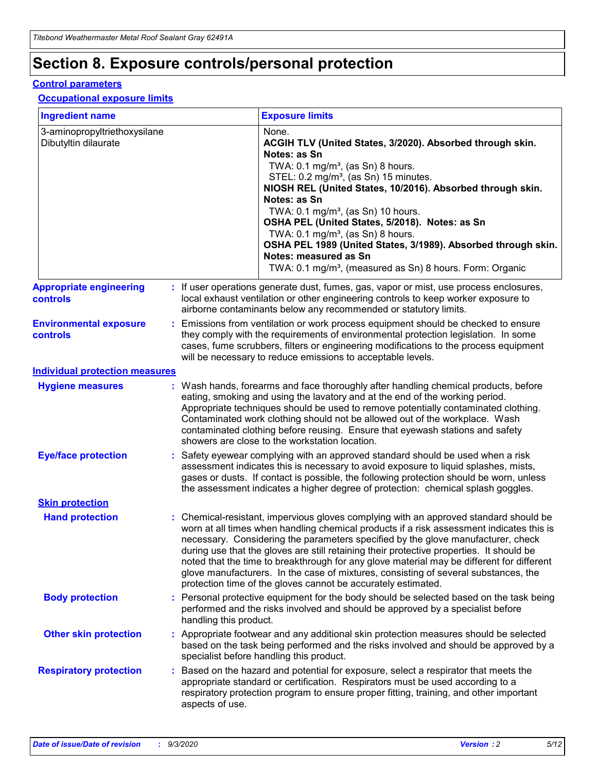# **Section 8. Exposure controls/personal protection**

#### **Control parameters**

#### **Occupational exposure limits**

| <b>Ingredient name</b>                               |    |                        | <b>Exposure limits</b>                                                                                                                                                                                                                                                                                                                                                                                                                                                                                                                                                                                                 |
|------------------------------------------------------|----|------------------------|------------------------------------------------------------------------------------------------------------------------------------------------------------------------------------------------------------------------------------------------------------------------------------------------------------------------------------------------------------------------------------------------------------------------------------------------------------------------------------------------------------------------------------------------------------------------------------------------------------------------|
| 3-aminopropyltriethoxysilane<br>Dibutyltin dilaurate |    |                        | None.<br>ACGIH TLV (United States, 3/2020). Absorbed through skin.<br>Notes: as Sn<br>TWA: $0.1 \text{ mg/m}^3$ , (as Sn) 8 hours.<br>STEL: 0.2 mg/m <sup>3</sup> , (as Sn) 15 minutes.<br>NIOSH REL (United States, 10/2016). Absorbed through skin.<br>Notes: as Sn<br>TWA: 0.1 mg/m <sup>3</sup> , (as Sn) 10 hours.<br>OSHA PEL (United States, 5/2018). Notes: as Sn<br>TWA: 0.1 mg/m <sup>3</sup> , (as Sn) 8 hours.<br>OSHA PEL 1989 (United States, 3/1989). Absorbed through skin.<br>Notes: measured as Sn<br>TWA: 0.1 mg/m <sup>3</sup> , (measured as Sn) 8 hours. Form: Organic                           |
| <b>Appropriate engineering</b><br>controls           |    |                        | : If user operations generate dust, fumes, gas, vapor or mist, use process enclosures,<br>local exhaust ventilation or other engineering controls to keep worker exposure to<br>airborne contaminants below any recommended or statutory limits.                                                                                                                                                                                                                                                                                                                                                                       |
| <b>Environmental exposure</b><br>controls            |    |                        | Emissions from ventilation or work process equipment should be checked to ensure<br>they comply with the requirements of environmental protection legislation. In some<br>cases, fume scrubbers, filters or engineering modifications to the process equipment<br>will be necessary to reduce emissions to acceptable levels.                                                                                                                                                                                                                                                                                          |
| <b>Individual protection measures</b>                |    |                        |                                                                                                                                                                                                                                                                                                                                                                                                                                                                                                                                                                                                                        |
| <b>Hygiene measures</b>                              |    |                        | : Wash hands, forearms and face thoroughly after handling chemical products, before<br>eating, smoking and using the lavatory and at the end of the working period.<br>Appropriate techniques should be used to remove potentially contaminated clothing.<br>Contaminated work clothing should not be allowed out of the workplace. Wash<br>contaminated clothing before reusing. Ensure that eyewash stations and safety<br>showers are close to the workstation location.                                                                                                                                            |
| <b>Eye/face protection</b>                           |    |                        | Safety eyewear complying with an approved standard should be used when a risk<br>assessment indicates this is necessary to avoid exposure to liquid splashes, mists,<br>gases or dusts. If contact is possible, the following protection should be worn, unless<br>the assessment indicates a higher degree of protection: chemical splash goggles.                                                                                                                                                                                                                                                                    |
| <b>Skin protection</b>                               |    |                        |                                                                                                                                                                                                                                                                                                                                                                                                                                                                                                                                                                                                                        |
| <b>Hand protection</b>                               |    |                        | : Chemical-resistant, impervious gloves complying with an approved standard should be<br>worn at all times when handling chemical products if a risk assessment indicates this is<br>necessary. Considering the parameters specified by the glove manufacturer, check<br>during use that the gloves are still retaining their protective properties. It should be<br>noted that the time to breakthrough for any glove material may be different for different<br>glove manufacturers. In the case of mixtures, consisting of several substances, the<br>protection time of the gloves cannot be accurately estimated. |
| <b>Body protection</b>                               |    | handling this product. | Personal protective equipment for the body should be selected based on the task being<br>performed and the risks involved and should be approved by a specialist before                                                                                                                                                                                                                                                                                                                                                                                                                                                |
| <b>Other skin protection</b>                         |    |                        | : Appropriate footwear and any additional skin protection measures should be selected<br>based on the task being performed and the risks involved and should be approved by a<br>specialist before handling this product.                                                                                                                                                                                                                                                                                                                                                                                              |
| <b>Respiratory protection</b>                        | ÷. | aspects of use.        | Based on the hazard and potential for exposure, select a respirator that meets the<br>appropriate standard or certification. Respirators must be used according to a<br>respiratory protection program to ensure proper fitting, training, and other important                                                                                                                                                                                                                                                                                                                                                         |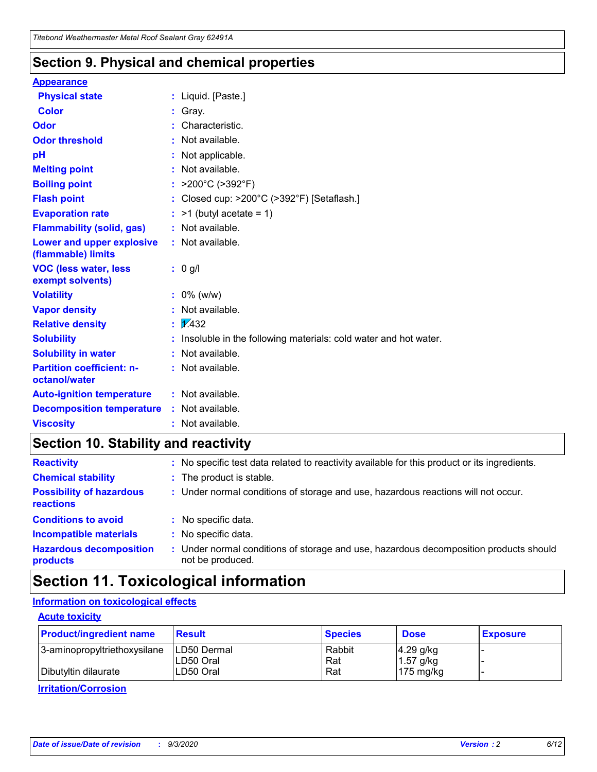### **Section 9. Physical and chemical properties**

#### **Appearance**

| <b>Physical state</b>                                  |   | : Liquid. [Paste.]                                              |
|--------------------------------------------------------|---|-----------------------------------------------------------------|
| <b>Color</b>                                           |   | Gray.                                                           |
| Odor                                                   |   | Characteristic.                                                 |
| <b>Odor threshold</b>                                  | ÷ | Not available.                                                  |
| рH                                                     |   | Not applicable.                                                 |
| <b>Melting point</b>                                   |   | : Not available.                                                |
| <b>Boiling point</b>                                   |   | : $>200^{\circ}$ C ( $>392^{\circ}$ F)                          |
| <b>Flash point</b>                                     |   | Closed cup: >200°C (>392°F) [Setaflash.]                        |
| <b>Evaporation rate</b>                                |   | $:$ >1 (butyl acetate = 1)                                      |
| <b>Flammability (solid, gas)</b>                       |   | : Not available.                                                |
| <b>Lower and upper explosive</b><br>(flammable) limits |   | : Not available.                                                |
| <b>VOC (less water, less)</b><br>exempt solvents)      |   | : 0 g/l                                                         |
| <b>Volatility</b>                                      |   | $: 0\%$ (w/w)                                                   |
| <b>Vapor density</b>                                   |   | Not available.                                                  |
| <b>Relative density</b>                                |   | $\mathbf{1}$ $\mathbf{\sqrt{432}}$                              |
| <b>Solubility</b>                                      |   | Insoluble in the following materials: cold water and hot water. |
| <b>Solubility in water</b>                             |   | Not available.                                                  |
| <b>Partition coefficient: n-</b><br>octanol/water      |   | : Not available.                                                |
| <b>Auto-ignition temperature</b>                       |   | : Not available.                                                |
| <b>Decomposition temperature</b>                       |   | : Not available.                                                |
| <b>Viscosity</b>                                       |   | $:$ Not available.                                              |

### **Section 10. Stability and reactivity**

| <b>Reactivity</b>                            |    | : No specific test data related to reactivity available for this product or its ingredients.            |
|----------------------------------------------|----|---------------------------------------------------------------------------------------------------------|
| <b>Chemical stability</b>                    |    | : The product is stable.                                                                                |
| <b>Possibility of hazardous</b><br>reactions |    | : Under normal conditions of storage and use, hazardous reactions will not occur.                       |
| <b>Conditions to avoid</b>                   |    | : No specific data.                                                                                     |
| <b>Incompatible materials</b>                | ٠. | No specific data.                                                                                       |
| <b>Hazardous decomposition</b><br>products   | ÷. | Under normal conditions of storage and use, hazardous decomposition products should<br>not be produced. |

### **Section 11. Toxicological information**

#### **Information on toxicological effects**

#### **Acute toxicity**

| <b>Product/ingredient name</b> | <b>Result</b>           | <b>Species</b> | <b>Dose</b>                | <b>Exposure</b> |
|--------------------------------|-------------------------|----------------|----------------------------|-----------------|
| 3-aminopropyltriethoxysilane   | <b>ILD50 Dermal</b>     | Rabbit         | 4.29 g/kg                  |                 |
| Dibutyltin dilaurate           | ILD50 Oral<br>LD50 Oral | Rat<br>Rat     | $1.57$ g/kg<br>175 $mg/kg$ |                 |
|                                |                         |                |                            |                 |

**Irritation/Corrosion**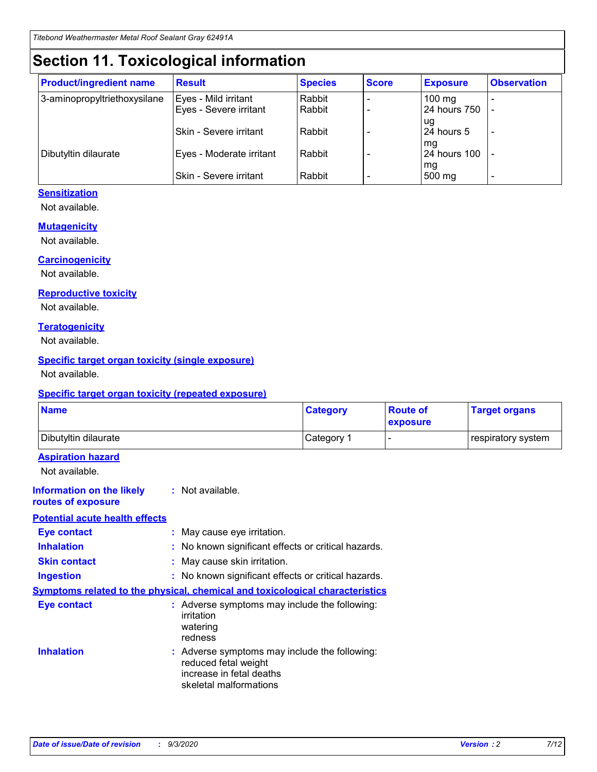# **Section 11. Toxicological information**

| <b>Product/ingredient name</b> | <b>Result</b>            | <b>Species</b> | <b>Score</b> | <b>Exposure</b>    | <b>Observation</b> |
|--------------------------------|--------------------------|----------------|--------------|--------------------|--------------------|
| 3-aminopropyltriethoxysilane   | Eyes - Mild irritant     | Rabbit         |              | $100$ mg           |                    |
|                                | Eyes - Severe irritant   | Rabbit         |              | 24 hours 750       |                    |
|                                |                          |                |              | ug                 |                    |
|                                | Skin - Severe irritant   | Rabbit         |              | 24 hours 5         | -                  |
| Dibutyltin dilaurate           | Eyes - Moderate irritant | Rabbit         |              | mg<br>24 hours 100 |                    |
|                                |                          |                |              | mg                 |                    |
|                                | Skin - Severe irritant   | Rabbit         |              | 500 mg             | -                  |

#### **Sensitization**

Not available.

#### **Mutagenicity**

Not available.

#### **Carcinogenicity**

Not available.

#### **Reproductive toxicity**

Not available.

#### **Teratogenicity**

Not available.

#### **Specific target organ toxicity (single exposure)**

Not available.

#### **Specific target organ toxicity (repeated exposure)**

| <b>Name</b>                                                                  |                                                                                                                             | <b>Category</b>                                     | <b>Route of</b><br>exposure | <b>Target organs</b> |  |  |
|------------------------------------------------------------------------------|-----------------------------------------------------------------------------------------------------------------------------|-----------------------------------------------------|-----------------------------|----------------------|--|--|
| Dibutyltin dilaurate                                                         |                                                                                                                             | Category 1                                          |                             | respiratory system   |  |  |
| <b>Aspiration hazard</b><br>Not available.                                   |                                                                                                                             |                                                     |                             |                      |  |  |
| <b>Information on the likely</b><br>routes of exposure                       | : Not available.                                                                                                            |                                                     |                             |                      |  |  |
| <b>Potential acute health effects</b>                                        |                                                                                                                             |                                                     |                             |                      |  |  |
| <b>Eye contact</b>                                                           | : May cause eye irritation.                                                                                                 |                                                     |                             |                      |  |  |
| <b>Inhalation</b>                                                            |                                                                                                                             | : No known significant effects or critical hazards. |                             |                      |  |  |
| <b>Skin contact</b>                                                          |                                                                                                                             | : May cause skin irritation.                        |                             |                      |  |  |
| <b>Ingestion</b>                                                             |                                                                                                                             | : No known significant effects or critical hazards. |                             |                      |  |  |
| Symptoms related to the physical, chemical and toxicological characteristics |                                                                                                                             |                                                     |                             |                      |  |  |
| <b>Eye contact</b>                                                           | : Adverse symptoms may include the following:<br>irritation<br>watering<br>redness                                          |                                                     |                             |                      |  |  |
| <b>Inhalation</b>                                                            | : Adverse symptoms may include the following:<br>reduced fetal weight<br>increase in fetal deaths<br>skeletal malformations |                                                     |                             |                      |  |  |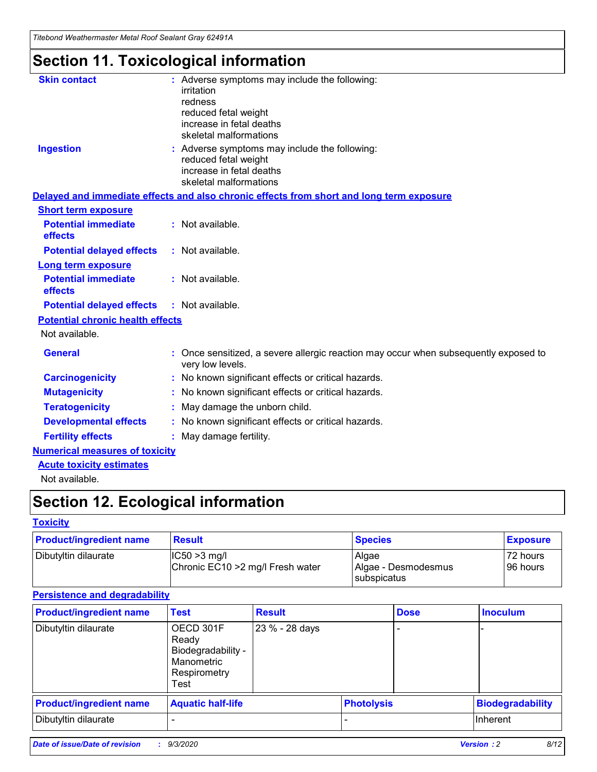*Titebond Weathermaster Metal Roof Sealant Gray 62491A*

# **Section 11. Toxicological information**

| <b>Skin contact</b>                     | : Adverse symptoms may include the following:<br>irritation                                            |
|-----------------------------------------|--------------------------------------------------------------------------------------------------------|
|                                         | redness                                                                                                |
|                                         | reduced fetal weight                                                                                   |
|                                         | increase in fetal deaths                                                                               |
|                                         | skeletal malformations                                                                                 |
| <b>Ingestion</b>                        | : Adverse symptoms may include the following:<br>reduced fetal weight                                  |
|                                         | increase in fetal deaths                                                                               |
|                                         | skeletal malformations                                                                                 |
|                                         | Delayed and immediate effects and also chronic effects from short and long term exposure               |
| <b>Short term exposure</b>              |                                                                                                        |
| <b>Potential immediate</b><br>effects   | : Not available.                                                                                       |
| <b>Potential delayed effects</b>        | : Not available.                                                                                       |
| <b>Long term exposure</b>               |                                                                                                        |
| <b>Potential immediate</b><br>effects   | : Not available.                                                                                       |
| <b>Potential delayed effects</b>        | : Not available.                                                                                       |
| <b>Potential chronic health effects</b> |                                                                                                        |
| Not available.                          |                                                                                                        |
| <b>General</b>                          | Once sensitized, a severe allergic reaction may occur when subsequently exposed to<br>very low levels. |
| <b>Carcinogenicity</b>                  | No known significant effects or critical hazards.                                                      |
| <b>Mutagenicity</b>                     | : No known significant effects or critical hazards.                                                    |
| <b>Teratogenicity</b>                   | May damage the unborn child.                                                                           |
| <b>Developmental effects</b>            | : No known significant effects or critical hazards.                                                    |
| <b>Fertility effects</b>                | : May damage fertility.                                                                                |
| <b>Numerical measures of toxicity</b>   |                                                                                                        |
| <b>Acute toxicity estimates</b>         |                                                                                                        |
| Not ovoilable                           |                                                                                                        |

Not available.

# **Section 12. Ecological information**

#### **Toxicity**

| <b>Product/ingredient name</b> | <b>Result</b>                                       | <b>Species</b>               | <b>Exposure</b>       |
|--------------------------------|-----------------------------------------------------|------------------------------|-----------------------|
| Dibutyltin dilaurate           | $ CC50>3$ mg/l<br>Chronic EC10 > 2 mg/l Fresh water | Algae<br>Algae - Desmodesmus | 72 hours<br>196 hours |
|                                |                                                     | <b>I</b> subspicatus         |                       |

#### **Persistence and degradability**

| <b>Product/ingredient name</b> | <b>Test</b>                                                                    | <b>Result</b>  |                   | <b>Dose</b> | <b>Inoculum</b>         |
|--------------------------------|--------------------------------------------------------------------------------|----------------|-------------------|-------------|-------------------------|
| Dibutyltin dilaurate           | OECD 301F<br>Ready<br>Biodegradability -<br>Manometric<br>Respirometry<br>Test | 23 % - 28 days |                   |             |                         |
| <b>Product/ingredient name</b> | <b>Aquatic half-life</b>                                                       |                | <b>Photolysis</b> |             | <b>Biodegradability</b> |
| Dibutyltin dilaurate           |                                                                                |                |                   |             | <b>Inherent</b>         |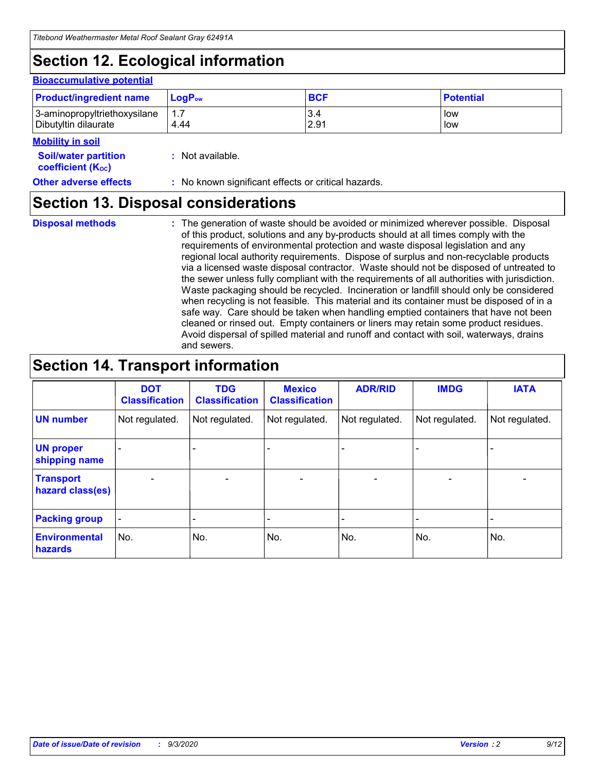# **Section 12. Ecological information**

#### **Bioaccumulative potential**

| <b>Product/ingredient name</b> | $LoaPow$ | <b>BCF</b> | <b>Potential</b> |
|--------------------------------|----------|------------|------------------|
| 3-aminopropyltriethoxysilane   | 1.7      | 3.4        | low              |
| Dibutyltin dilaurate           | 4.44     | 2.91       | low              |

#### **Mobility in soil**

| <b>Soil/water partition</b> | : Not available. |
|-----------------------------|------------------|
| <b>coefficient (Koc)</b>    |                  |

**Other adverse effects** : No known significant effects or critical hazards.

### **Section 13. Disposal considerations**

**Disposal methods :**

The generation of waste should be avoided or minimized wherever possible. Disposal of this product, solutions and any by-products should at all times comply with the requirements of environmental protection and waste disposal legislation and any regional local authority requirements. Dispose of surplus and non-recyclable products via a licensed waste disposal contractor. Waste should not be disposed of untreated to the sewer unless fully compliant with the requirements of all authorities with jurisdiction. Waste packaging should be recycled. Incineration or landfill should only be considered when recycling is not feasible. This material and its container must be disposed of in a safe way. Care should be taken when handling emptied containers that have not been cleaned or rinsed out. Empty containers or liners may retain some product residues. Avoid dispersal of spilled material and runoff and contact with soil, waterways, drains and sewers.

### **Section 14. Transport information**

|                                      | <b>DOT</b><br><b>Classification</b> | <b>TDG</b><br><b>Classification</b> | <b>Mexico</b><br><b>Classification</b> | <b>ADR/RID</b>           | <b>IMDG</b>              | <b>IATA</b>    |
|--------------------------------------|-------------------------------------|-------------------------------------|----------------------------------------|--------------------------|--------------------------|----------------|
| <b>UN number</b>                     | Not regulated.                      | Not regulated.                      | Not regulated.                         | Not regulated.           | Not regulated.           | Not regulated. |
| <b>UN proper</b><br>shipping name    |                                     |                                     |                                        |                          |                          |                |
| <b>Transport</b><br>hazard class(es) |                                     | $\overline{\phantom{0}}$            | $\qquad \qquad \blacksquare$           | $\overline{\phantom{0}}$ | $\overline{\phantom{0}}$ |                |
| <b>Packing group</b>                 |                                     |                                     |                                        |                          |                          |                |
| <b>Environmental</b><br>hazards      | No.                                 | No.                                 | No.                                    | No.                      | No.                      | No.            |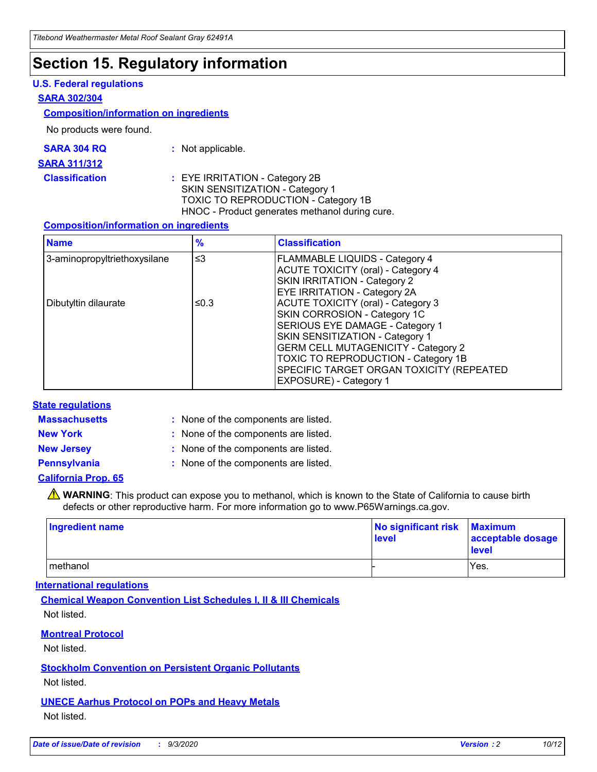### **Section 15. Regulatory information**

#### **U.S. Federal regulations**

#### **SARA 302/304**

#### **Composition/information on ingredients**

No products were found.

| SARA 304 RQ | Not applicable. |
|-------------|-----------------|
|-------------|-----------------|

#### **SARA 311/312**

#### **Classification :** EYE IRRITATION - Category 2B SKIN SENSITIZATION - Category 1 TOXIC TO REPRODUCTION - Category 1B HNOC - Product generates methanol during cure.

#### **Composition/information on ingredients**

| <b>Name</b>                  | $\frac{9}{6}$ | <b>Classification</b>                                                                                                                                                                                                                                                                                      |
|------------------------------|---------------|------------------------------------------------------------------------------------------------------------------------------------------------------------------------------------------------------------------------------------------------------------------------------------------------------------|
| 3-aminopropyltriethoxysilane | $\leq$ 3      | <b>FLAMMABLE LIQUIDS - Category 4</b><br><b>ACUTE TOXICITY (oral) - Category 4</b><br><b>SKIN IRRITATION - Category 2</b><br>EYE IRRITATION - Category 2A                                                                                                                                                  |
| Dibutyltin dilaurate         | ≤0.3          | <b>ACUTE TOXICITY (oral) - Category 3</b><br>SKIN CORROSION - Category 1C<br>SERIOUS EYE DAMAGE - Category 1<br>SKIN SENSITIZATION - Category 1<br><b>GERM CELL MUTAGENICITY - Category 2</b><br>TOXIC TO REPRODUCTION - Category 1B<br>SPECIFIC TARGET ORGAN TOXICITY (REPEATED<br>EXPOSURE) - Category 1 |

#### **State regulations**

**Massachusetts :**

: None of the components are listed.

**New York :** None of the components are listed.

**New Jersey :** None of the components are listed.

**Pennsylvania :** None of the components are listed.

#### **California Prop. 65**

WARNING: This product can expose you to methanol, which is known to the State of California to cause birth defects or other reproductive harm. For more information go to www.P65Warnings.ca.gov.

| Ingredient name | No significant risk Maximum<br>level | acceptable dosage<br><b>level</b> |
|-----------------|--------------------------------------|-----------------------------------|
| I methanol      |                                      | Yes.                              |

#### **International regulations**

**Chemical Weapon Convention List Schedules I, II & III Chemicals** Not listed.

#### **Montreal Protocol**

Not listed.

**Stockholm Convention on Persistent Organic Pollutants**

Not listed.

#### **UNECE Aarhus Protocol on POPs and Heavy Metals** Not listed.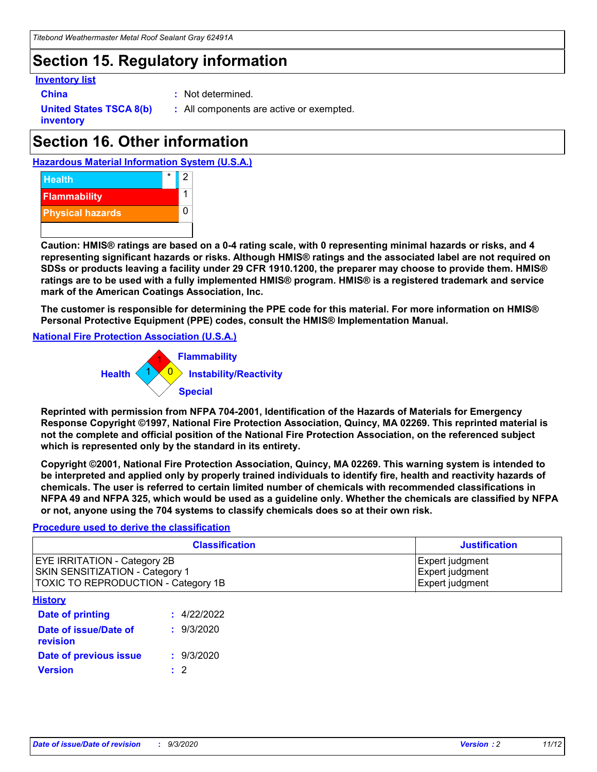### **Section 15. Regulatory information**

#### **Inventory list**

- 
- **China :** Not determined.

**United States TSCA 8(b) inventory**

**:** All components are active or exempted.

# **Section 16. Other information**





**Caution: HMIS® ratings are based on a 0-4 rating scale, with 0 representing minimal hazards or risks, and 4 representing significant hazards or risks. Although HMIS® ratings and the associated label are not required on SDSs or products leaving a facility under 29 CFR 1910.1200, the preparer may choose to provide them. HMIS® ratings are to be used with a fully implemented HMIS® program. HMIS® is a registered trademark and service mark of the American Coatings Association, Inc.**

**The customer is responsible for determining the PPE code for this material. For more information on HMIS® Personal Protective Equipment (PPE) codes, consult the HMIS® Implementation Manual.**

**National Fire Protection Association (U.S.A.)**



**Reprinted with permission from NFPA 704-2001, Identification of the Hazards of Materials for Emergency Response Copyright ©1997, National Fire Protection Association, Quincy, MA 02269. This reprinted material is not the complete and official position of the National Fire Protection Association, on the referenced subject which is represented only by the standard in its entirety.**

**Copyright ©2001, National Fire Protection Association, Quincy, MA 02269. This warning system is intended to be interpreted and applied only by properly trained individuals to identify fire, health and reactivity hazards of chemicals. The user is referred to certain limited number of chemicals with recommended classifications in NFPA 49 and NFPA 325, which would be used as a guideline only. Whether the chemicals are classified by NFPA or not, anyone using the 704 systems to classify chemicals does so at their own risk.**

#### **Procedure used to derive the classification**

| <b>Classification</b>                                                                                         | <b>Justification</b>                                  |
|---------------------------------------------------------------------------------------------------------------|-------------------------------------------------------|
| <b>EYE IRRITATION - Category 2B</b><br>SKIN SENSITIZATION - Category 1<br>TOXIC TO REPRODUCTION - Category 1B | Expert judgment<br>Expert judgment<br>Expert judgment |
| <b>History</b>                                                                                                |                                                       |

| Date of printing                  | : 4/22/2022 |
|-----------------------------------|-------------|
| Date of issue/Date of<br>revision | : 9/3/2020  |
| Date of previous issue            | : 9/3/2020  |
| <b>Version</b>                    | $\cdot$ 2   |
|                                   |             |